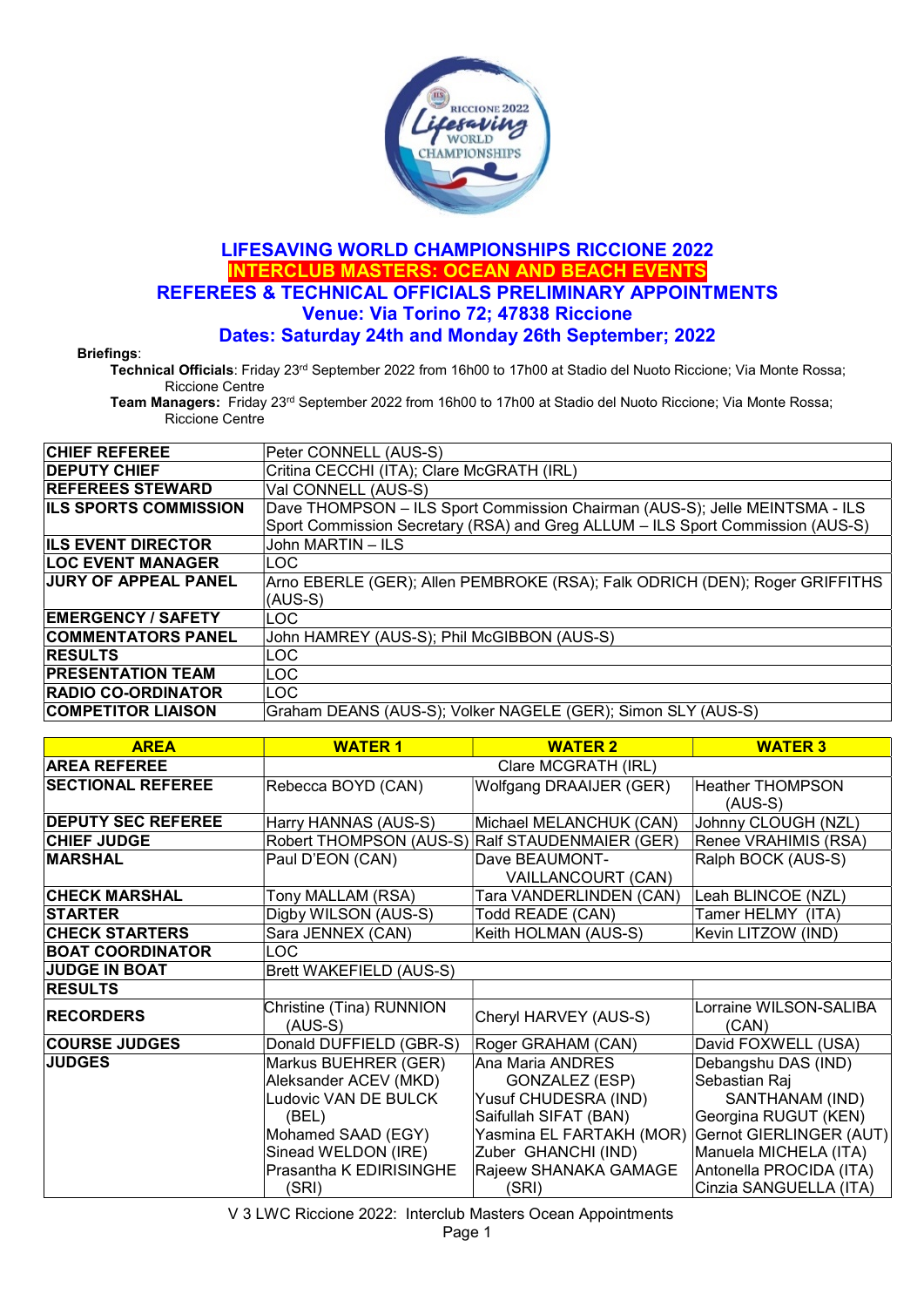

## LIFESAVING WORLD CHAMPIONSHIPS RICCIONE 2022 INTERCLUB MASTERS: OCEAN AND BEACH EVENTS REFEREES & TECHNICAL OFFICIALS PRELIMINARY APPOINTMENTS Venue: Via Torino 72; 47838 Riccione Dates: Saturday 24th and Monday 26th September; 2022

Briefings:

Technical Officials: Friday 23rd September 2022 from 16h00 to 17h00 at Stadio del Nuoto Riccione; Via Monte Rossa; Riccione Centre

Team Managers: Friday 23rd September 2022 from 16h00 to 17h00 at Stadio del Nuoto Riccione; Via Monte Rossa; Riccione Centre

| <b>CHIEF REFEREE</b>         | Peter CONNELL (AUS-S)                                                          |
|------------------------------|--------------------------------------------------------------------------------|
| <b>DEPUTY CHIEF</b>          | Critina CECCHI (ITA); Clare McGRATH (IRL)                                      |
| <b>REFEREES STEWARD</b>      | Val CONNELL (AUS-S)                                                            |
| <b>ILS SPORTS COMMISSION</b> | Dave THOMPSON - ILS Sport Commission Chairman (AUS-S); Jelle MEINTSMA - ILS    |
|                              | Sport Commission Secretary (RSA) and Greg ALLUM - ILS Sport Commission (AUS-S) |
| <b>ILS EVENT DIRECTOR</b>    | John MARTIN - ILS                                                              |
| <b>ILOC EVENT MANAGER</b>    | <b>LOC</b>                                                                     |
| <b>JURY OF APPEAL PANEL</b>  | Arno EBERLE (GER); Allen PEMBROKE (RSA); Falk ODRICH (DEN); Roger GRIFFITHS    |
|                              | (AUS-S)                                                                        |
| <b>EMERGENCY / SAFETY</b>    | ILOC.                                                                          |
| <b>COMMENTATORS PANEL</b>    | John HAMREY (AUS-S); Phil McGIBBON (AUS-S)                                     |
| <b>RESULTS</b>               | LOC                                                                            |
| <b>PRESENTATION TEAM</b>     | <b>LOC</b>                                                                     |
| <b>RADIO CO-ORDINATOR</b>    | ILOC.                                                                          |
| <b>COMPETITOR LIAISON</b>    | Graham DEANS (AUS-S); Volker NAGELE (GER); Simon SLY (AUS-S)                   |
|                              |                                                                                |

| <b>AREA</b>               | <b>WATER 1</b>                        | <b>WATER 2</b>                                  | <b>WATER 3</b>                  |
|---------------------------|---------------------------------------|-------------------------------------------------|---------------------------------|
| <b>AREA REFEREE</b>       |                                       | Clare MCGRATH (IRL)                             |                                 |
| <b>SECTIONAL REFEREE</b>  | Rebecca BOYD (CAN)                    | Wolfgang DRAAIJER (GER)                         | <b>Heather THOMPSON</b>         |
|                           |                                       |                                                 | $(AUS-S)$                       |
| <b>DEPUTY SEC REFEREE</b> | Harry HANNAS (AUS-S)                  | Michael MELANCHUK (CAN)                         | Johnny CLOUGH (NZL)             |
| <b>CHIEF JUDGE</b>        |                                       | Robert THOMPSON (AUS-S) Ralf STAUDENMAIER (GER) | Renee VRAHIMIS (RSA)            |
| <b>MARSHAL</b>            | Paul D'EON (CAN)                      | Dave BEAUMONT-                                  | Ralph BOCK (AUS-S)              |
|                           |                                       | VAILLANCOURT (CAN)                              |                                 |
| <b>CHECK MARSHAL</b>      | Tony MALLAM (RSA)                     | Tara VANDERLINDEN (CAN)                         | Leah BLINCOE (NZL)              |
| <b>STARTER</b>            | Digby WILSON (AUS-S)                  | Todd READE (CAN)                                | Tamer HELMY (ITA)               |
| <b>CHECK STARTERS</b>     | Sara JENNEX (CAN)                     | Keith HOLMAN (AUS-S)                            | Kevin LITZOW (IND)              |
| <b>BOAT COORDINATOR</b>   | LOC                                   |                                                 |                                 |
| <b>JUDGE IN BOAT</b>      | Brett WAKEFIELD (AUS-S)               |                                                 |                                 |
| <b>RESULTS</b>            |                                       |                                                 |                                 |
| <b>RECORDERS</b>          | Christine (Tina) RUNNION<br>$(AUS-S)$ | Cheryl HARVEY (AUS-S)                           | Lorraine WILSON-SALIBA<br>(CAN) |
| <b>COURSE JUDGES</b>      | Donald DUFFIELD (GBR-S)               | Roger GRAHAM (CAN)                              | David FOXWELL (USA)             |
| <b>JUDGES</b>             | Markus BUEHRER (GER)                  | Ana Maria ANDRES                                | Debangshu DAS (IND)             |
|                           | Aleksander ACEV (MKD)                 | GONZALEZ (ESP)                                  | Sebastian Raj                   |
|                           | Ludovic VAN DE BULCK                  | Yusuf CHUDESRA (IND)                            | SANTHANAM (IND)                 |
|                           | (BEL)                                 | Saifullah SIFAT (BAN)                           | Georgina RUGUT (KEN)            |
|                           | Mohamed SAAD (EGY)                    | Yasmina EL FARTAKH (MOR)                        | Gernot GIERLINGER (AUT)         |
|                           | Sinead WELDON (IRE)                   | Zuber GHANCHI (IND)                             | Manuela MICHELA (ITA)           |
|                           | Prasantha K EDIRISINGHE               | Rajeew SHANAKA GAMAGE                           | Antonella PROCIDA (ITA)         |
|                           | (SRI)                                 | (SRI)                                           | Cinzia SANGUELLA (ITA)          |

V 3 LWC Riccione 2022: Interclub Masters Ocean Appointments